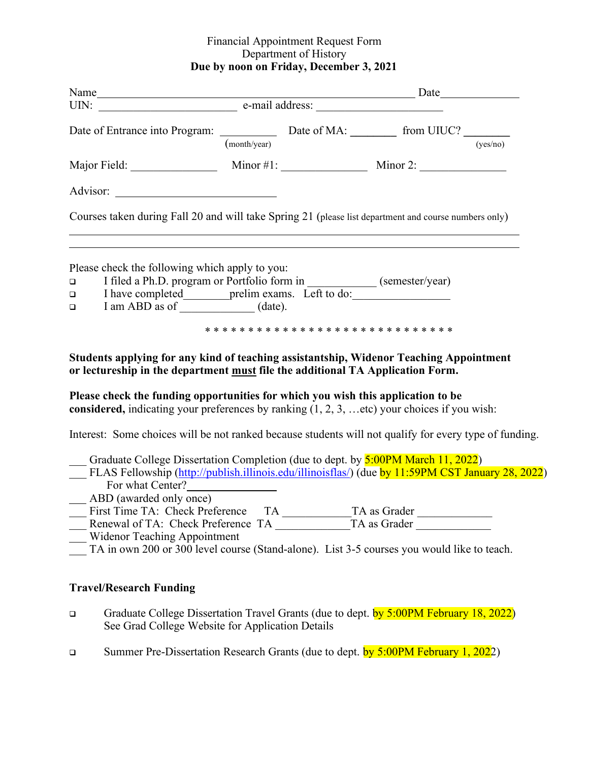#### Financial Appointment Request Form Department of History **Due by noon on Friday, December 3, 2021**

|                                                                                                                                                                                                                                                                                                                                                                                                                | (month/year) |  |  | (yes/no) |
|----------------------------------------------------------------------------------------------------------------------------------------------------------------------------------------------------------------------------------------------------------------------------------------------------------------------------------------------------------------------------------------------------------------|--------------|--|--|----------|
|                                                                                                                                                                                                                                                                                                                                                                                                                |              |  |  |          |
|                                                                                                                                                                                                                                                                                                                                                                                                                |              |  |  |          |
| Courses taken during Fall 20 and will take Spring 21 (please list department and course numbers only)                                                                                                                                                                                                                                                                                                          |              |  |  |          |
| Please check the following which apply to you:<br>$\Box$<br>$\Box$<br>$\Box$                                                                                                                                                                                                                                                                                                                                   |              |  |  |          |
| Students applying for any kind of teaching assistantship, Widenor Teaching Appointment<br>or lectureship in the department must file the additional TA Application Form.<br>Please check the funding opportunities for which you wish this application to be<br>considered, indicating your preferences by ranking $(1, 2, 3, \dots$ etc) your choices if you wish:                                            |              |  |  |          |
| Interest: Some choices will be not ranked because students will not qualify for every type of funding.                                                                                                                                                                                                                                                                                                         |              |  |  |          |
| Graduate College Dissertation Completion (due to dept. by 5:00PM March 11, 2022)<br>FLAS Fellowship (http://publish.illinois.edu/illinoisflas/) (due by 11:59PM CST January 28, 2022)<br>__ ABD (awarded only once)<br>Pilst Tillie TA. Clieck Preference TA TA as Grader<br><b>Widenor Teaching Appointment</b><br>TA in own 200 or 300 level course (Stand-alone). List 3-5 courses you would like to teach. |              |  |  |          |
| <b>Travel/Research Funding</b>                                                                                                                                                                                                                                                                                                                                                                                 |              |  |  |          |

- Graduate College Dissertation Travel Grants (due to dept. by 5:00PM February 18, 2022) See Grad College Website for Application Details
- Summer Pre-Dissertation Research Grants (due to dept. by 5:00PM February 1, 2022)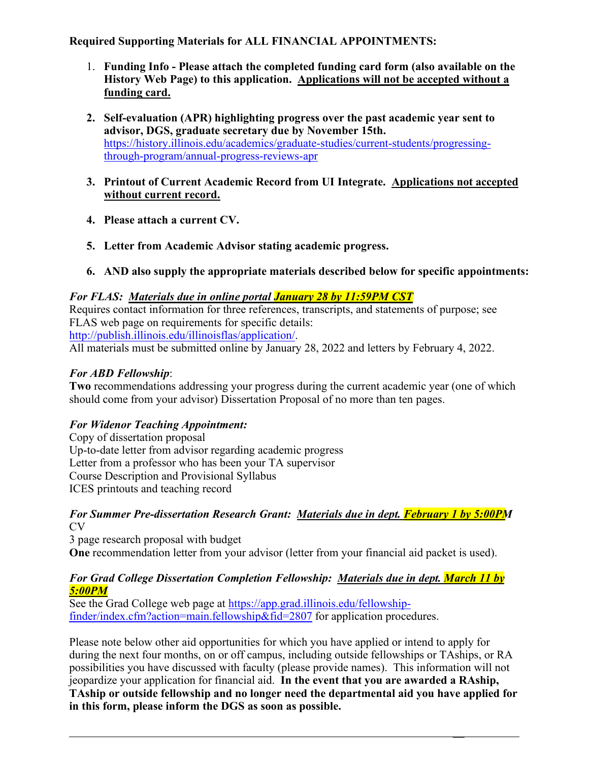# **Required Supporting Materials for ALL FINANCIAL APPOINTMENTS:**

- 1. **Funding Info Please attach the completed funding card form (also available on the History Web Page) to this application. Applications will not be accepted without a funding card.**
- **2. Self-evaluation (APR) highlighting progress over the past academic year sent to advisor, DGS, graduate secretary due by November 15th.** [https://history.illinois.edu/academics/graduate-studies/current-students/progressing](https://history.illinois.edu/academics/graduate-studies/current-students/progressing-through-program/annual-progress-reviews-apr)[through-program/annual-progress-reviews-apr](https://history.illinois.edu/academics/graduate-studies/current-students/progressing-through-program/annual-progress-reviews-apr)
- **3. Printout of Current Academic Record from UI Integrate. Applications not accepted without current record.**
- **4. Please attach a current CV.**
- **5. Letter from Academic Advisor stating academic progress.**
- **6. AND also supply the appropriate materials described below for specific appointments:**

# *For FLAS: Materials due in online portal January 28 by 11:59PM CST*

Requires contact information for three references, transcripts, and statements of purpose; see FLAS web page on requirements for specific details: [http://publish.illinois.edu/illinoisflas/application/.](http://publish.illinois.edu/illinoisflas/application/)

All materials must be submitted online by January 28, 2022 and letters by February 4, 2022.

# *For ABD Fellowship*:

**Two** recommendations addressing your progress during the current academic year (one of which should come from your advisor) Dissertation Proposal of no more than ten pages.

# *For Widenor Teaching Appointment:*

Copy of dissertation proposal Up-to-date letter from advisor regarding academic progress Letter from a professor who has been your TA supervisor Course Description and Provisional Syllabus ICES printouts and teaching record

#### *For Summer Pre-dissertation Research Grant: Materials due in dept. February 1 by 5:00PM*   $CV$

3 page research proposal with budget **One** recommendation letter from your advisor (letter from your financial aid packet is used).

#### *For Grad College Dissertation Completion Fellowship: Materials due in dept. March 11 by 5:00PM*

See the Grad College web page at [https://app.grad.illinois.edu/fellowship](https://app.grad.illinois.edu/fellowship-finder/index.cfm?action=main.fellowship&fid=2807)[finder/index.cfm?action=main.fellowship&fid=2807](https://app.grad.illinois.edu/fellowship-finder/index.cfm?action=main.fellowship&fid=2807) for application procedures.

Please note below other aid opportunities for which you have applied or intend to apply for during the next four months, on or off campus, including outside fellowships or TAships, or RA possibilities you have discussed with faculty (please provide names). This information will not jeopardize your application for financial aid. **In the event that you are awarded a RAship, TAship or outside fellowship and no longer need the departmental aid you have applied for in this form, please inform the DGS as soon as possible.**

\_\_